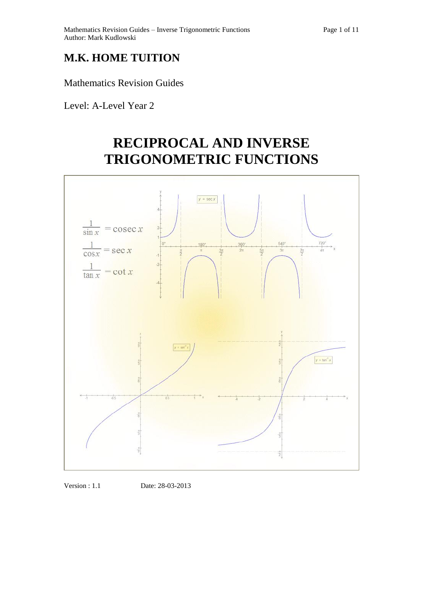## **M.K. HOME TUITION**

Mathematics Revision Guides

Level: A-Level Year 2

# **RECIPROCAL AND INVERSE TRIGONOMETRIC FUNCTIONS**



Version : 1.1 Date: 28-03-2013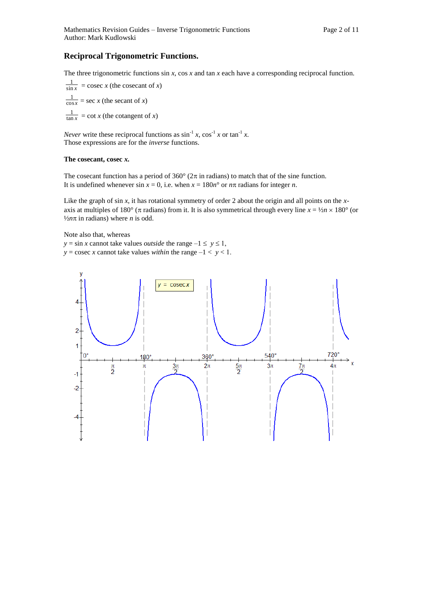## **Reciprocal Trigonometric Functions.**

The three trigonometric functions sin *x*, cos *x* and tan *x* each have a corresponding reciprocal function.

sin *x*  $\frac{1}{\ln x}$  = cosec *x* (the cosecant of *x*) cos *x*  $\frac{1}{\log x}$  = sec *x* (the secant of *x*) tan *x*  $\frac{1}{\ln x}$  = cot *x* (the cotangent of *x*)

*Never* write these reciprocal functions as  $\sin^{-1} x$ ,  $\cos^{-1} x$  or  $\tan^{-1} x$ . Those expressions are for the *inverse* functions.

## **The cosecant, cosec** *x.*

The cosecant function has a period of 360 $^{\circ}$  (2 $\pi$  in radians) to match that of the sine function. It is undefined whenever sin  $x = 0$ , i.e. when  $x = 180n^{\circ}$  or  $n\pi$  radians for integer *n*.

Like the graph of sin *x*, it has rotational symmetry of order 2 about the origin and all points on the *x*axis at multiples of 180° ( $\pi$  radians) from it. It is also symmetrical through every line  $x = \frac{1}{2}n \times 180^\circ$  (or  $\frac{1}{2}n\pi$  in radians) where *n* is odd.

Note also that, whereas

 $y = \sin x$  cannot take values *outside* the range  $-1 \le y \le 1$ ,  $y = \csc x$  cannot take values *within* the range  $-1 < y < 1$ .

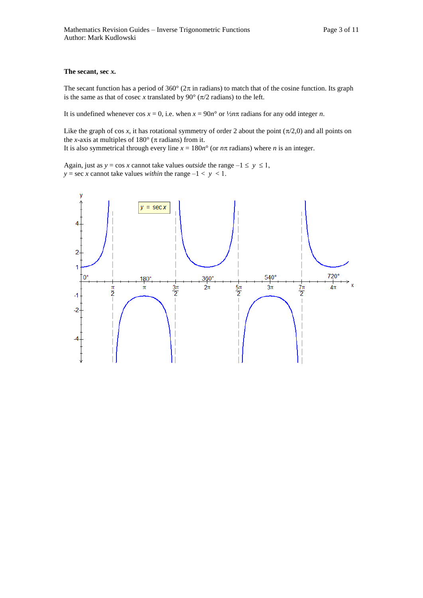## **The secant, sec** *x.*

The secant function has a period of  $360^{\circ}$  ( $2\pi$  in radians) to match that of the cosine function. Its graph is the same as that of cosec *x* translated by 90 $\degree$  ( $\pi/2$  radians) to the left.

It is undefined whenever  $\cos x = 0$ , i.e. when  $x = 90n^{\circ}$  or  $\frac{1}{2}n\pi$  radians for any odd integer *n*.

Like the graph of cos x, it has rotational symmetry of order 2 about the point  $(\pi/2,0)$  and all points on the *x*-axis at multiples of  $180^\circ$  ( $\pi$  radians) from it. It is also symmetrical through every line  $x = 180n^{\circ}$  (or  $n\pi$  radians) where *n* is an integer.

Again, just as  $y = \cos x$  cannot take values *outside* the range  $-1 \le y \le 1$ , *y* = sec *x* cannot take values *within* the range  $-1 < y < 1$ .

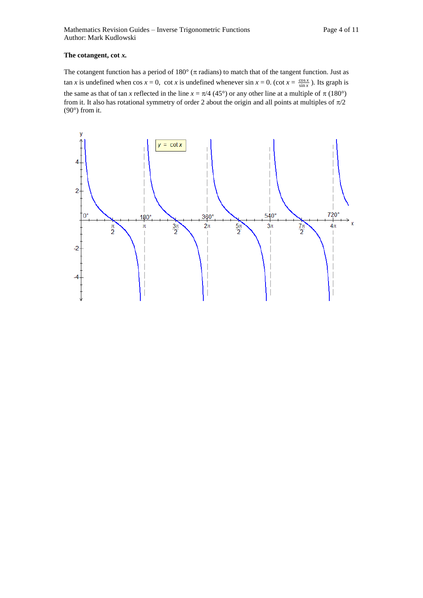## **The cotangent, cot** *x.*

The cotangent function has a period of  $180^\circ$  ( $\pi$  radians) to match that of the tangent function. Just as  $\tan x$  is undefined when cos  $x = 0$ , cot *x* is undefined whenever  $\sin x = 0$ . (cot  $x = \frac{\cos x}{\sin x}$ ). Its graph is the same as that of tan *x* reflected in the line  $x = \pi/4$  (45°) or any other line at a multiple of  $\pi$  (180°) from it. It also has rotational symmetry of order 2 about the origin and all points at multiples of  $\pi/2$  $(90^\circ)$  from it.

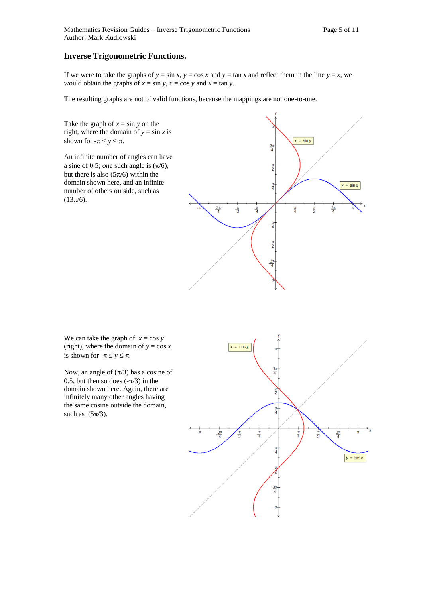## **Inverse Trigonometric Functions.**

If we were to take the graphs of  $y = \sin x$ ,  $y = \cos x$  and  $y = \tan x$  and reflect them in the line  $y = x$ , we would obtain the graphs of  $x = \sin y$ ,  $x = \cos y$  and  $x = \tan y$ .

The resulting graphs are not of valid functions, because the mappings are not one-to-one.

Take the graph of  $x = \sin y$  on the right, where the domain of  $y = \sin x$  is shown for  $-\pi \le y \le \pi$ .

An infinite number of angles can have a sine of 0.5; *one* such angle is  $(\pi/6)$ , but there is also  $(5\pi/6)$  within the domain shown here, and an infinite number of others outside, such as  $(13\pi/6).$ 



We can take the graph of  $x = \cos y$ (right), where the domain of  $y = \cos x$ is shown for  $-\pi \le y \le \pi$ .

Now, an angle of  $(\pi/3)$  has a cosine of 0.5, but then so does  $(-\pi/3)$  in the domain shown here. Again, there are infinitely many other angles having the same cosine outside the domain, such as  $(5\pi/3)$ .

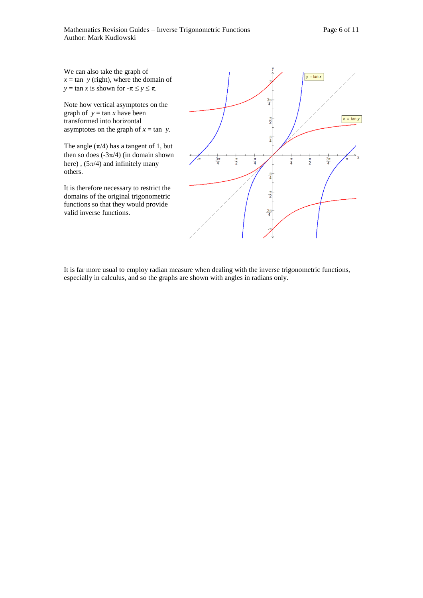We can also take the graph of  $x = \tan y$  (right), where the domain of  $y = \tan x$  is shown for  $-\pi \le y \le \pi$ .

Note how vertical asymptotes on the graph of  $y = \tan x$  have been transformed into horizontal asymptotes on the graph of  $x = \tan y$ .

The angle  $(\pi/4)$  has a tangent of 1, but then so does  $(-3\pi/4)$  (in domain shown here),  $(5\pi/4)$  and infinitely many others.

It is therefore necessary to restrict the domains of the original trigonometric functions so that they would provide valid inverse functions.



It is far more usual to employ radian measure when dealing with the inverse trigonometric functions, especially in calculus, and so the graphs are shown with angles in radians only.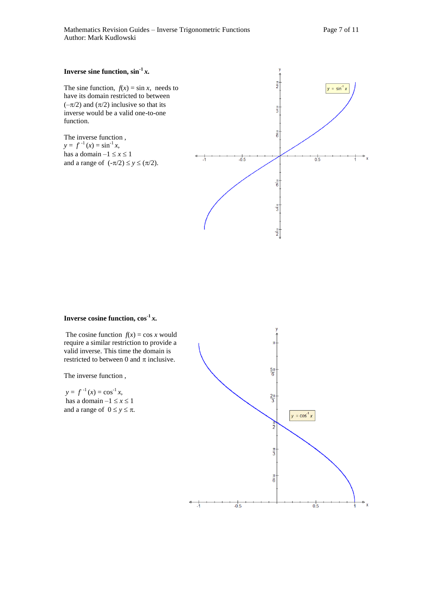## **Inverse sine function,**  $\sin^{-1} x$ **.**

The sine function,  $f(x) = \sin x$ , needs to have its domain restricted to between  $(-\pi/2)$  and  $(\pi/2)$  inclusive so that its inverse would be a valid one-to-one function.

The inverse function ,  $y = f^{-1}(x) = \sin^{-1} x$ , has a domain  $-1 \le x \le 1$ and a range of  $(-\pi/2) \le y \le (\pi/2)$ .



## **Inverse cosine function,**  $\cos^{-1} x$ **.**

The cosine function  $f(x) = \cos x$  would require a similar restriction to provide a valid inverse. This time the domain is restricted to between 0 and  $\pi$  inclusive.

The inverse function ,

 $y = f^{-1}(x) = \cos^{-1} x$ , has a domain  $-1 \le x \le 1$ and a range of  $0 \le y \le \pi$ .

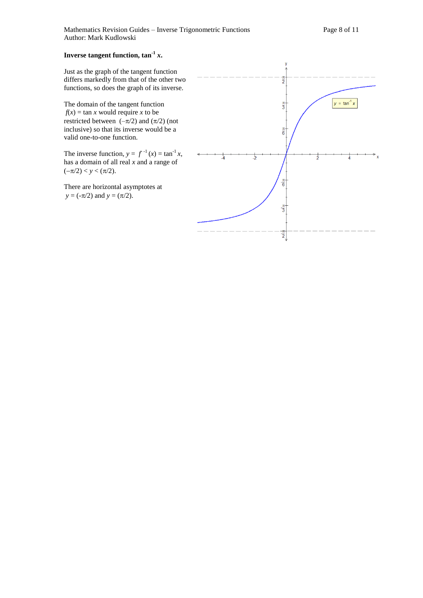## **Inverse tangent function, tan-1** *x***.**

Just as the graph of the tangent function differs markedly from that of the other two functions, so does the graph of its inverse.

The domain of the tangent function  $f(x) = \tan x$  would require *x* to be restricted between  $(-\pi/2)$  and  $(\pi/2)$  (not inclusive) so that its inverse would be a valid one-to-one function.

The inverse function,  $y = f^{-1}(x) = \tan^{-1} x$ , has a domain of all real *x* and a range of  $(-\pi/2) < y < (\pi/2)$ .

There are horizontal asymptotes at  $y = (-\pi/2)$  and  $y = (\pi/2)$ .

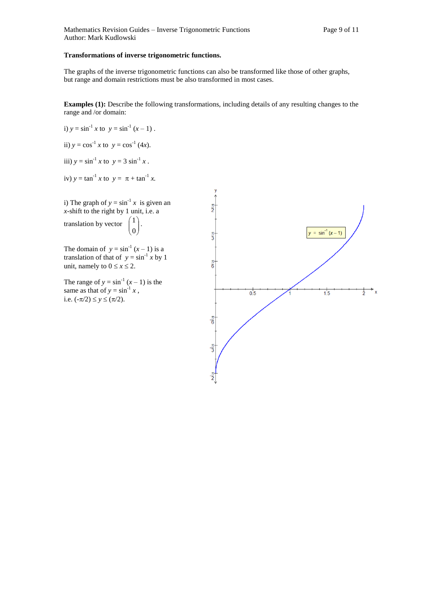## **Transformations of inverse trigonometric functions.**

The graphs of the inverse trigonometric functions can also be transformed like those of other graphs, but range and domain restrictions must be also transformed in most cases.

**Examples (1):** Describe the following transformations, including details of any resulting changes to the range and /or domain:

i) 
$$
y = \sin^{-1} x
$$
 to  $y = \sin^{-1} (x - 1)$ .

ii) 
$$
y = \cos^{-1} x
$$
 to  $y = \cos^{-1} (4x)$ .

iii)  $y = \sin^{-1} x$  to  $y = 3 \sin^{-1} x$ .

iv) 
$$
y = \tan^{-1} x
$$
 to  $y = \pi + \tan^{-1} x$ .

i) The graph of  $y = \sin^{-1} x$  is given an *x-*shift to the right by 1 unit, i.e. a

translation by vector  $\begin{bmatrix} 1 \\ 0 \end{bmatrix}$ Ι  $\lambda$  $\overline{\phantom{a}}$  $\backslash$ ſ 0 1 .

The domain of  $y = sin^{-1}(x - 1)$  is a translation of that of  $y = \sin^{-1} x$  by 1 unit, namely to  $0 \le x \le 2$ .

The range of  $y = \sin^{-1}(x - 1)$  is the same as that of  $y = \sin^{-1} x$ , i.e.  $(-\pi/2) \le y \le (\pi/2)$ .

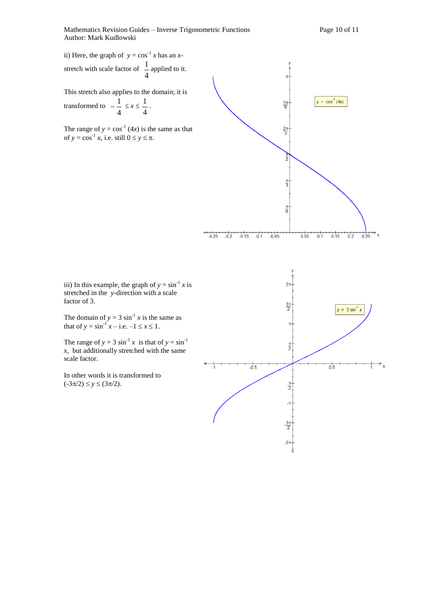ii) Here, the graph of  $y = cos^{-1} x$  has an *x*stretch with scale factor of 4  $\frac{1}{2}$  applied to it.

This stretch also applies to the domain; it is

transformed to 4  $-\frac{1}{x} \leq x \leq$ 4 1 .

The range of  $y = cos^{-1}(4x)$  is the same as that of  $y = \cos^{-1} x$ , i.e. still  $0 \le y \le \pi$ .



iii) In this example, the graph of  $y = \sin^{-1} x$  is stretched in the *y-*direction with a scale factor of 3.

The domain of  $y = 3 \sin^{-1} x$  is the same as that of  $y = \sin^{-1} x - i.e. -1 \le x \le 1$ .

The range of  $y = 3 \sin^{-1} x$  is that of  $y = \sin^{-1} x$ *x,* but additionally stretched with the same scale factor.

In other words it is transformed to  $(-3\pi/2) \le y \le (3\pi/2).$